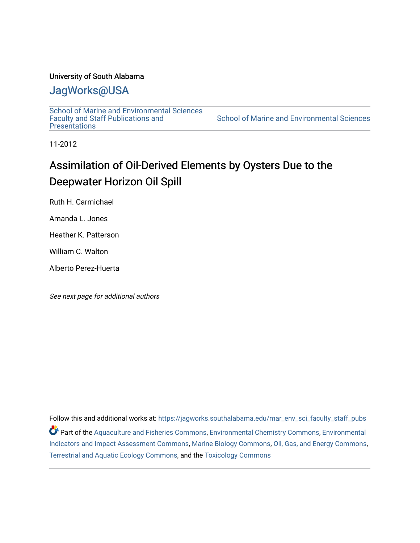## University of South Alabama

# [JagWorks@USA](https://jagworks.southalabama.edu/)

[School of Marine and Environmental Sciences](https://jagworks.southalabama.edu/mar_env_sci_faculty_staff_pubs)  [Faculty and Staff Publications and](https://jagworks.southalabama.edu/mar_env_sci_faculty_staff_pubs)  **Presentations** 

[School of Marine and Environmental Sciences](https://jagworks.southalabama.edu/mar_env_sci) 

11-2012

# Assimilation of Oil-Derived Elements by Oysters Due to the Deepwater Horizon Oil Spill

Ruth H. Carmichael

Amanda L. Jones

Heather K. Patterson

William C. Walton

Alberto Perez-Huerta

See next page for additional authors

Follow this and additional works at: [https://jagworks.southalabama.edu/mar\\_env\\_sci\\_faculty\\_staff\\_pubs](https://jagworks.southalabama.edu/mar_env_sci_faculty_staff_pubs?utm_source=jagworks.southalabama.edu%2Fmar_env_sci_faculty_staff_pubs%2F15&utm_medium=PDF&utm_campaign=PDFCoverPages) Part of the [Aquaculture and Fisheries Commons](https://network.bepress.com/hgg/discipline/78?utm_source=jagworks.southalabama.edu%2Fmar_env_sci_faculty_staff_pubs%2F15&utm_medium=PDF&utm_campaign=PDFCoverPages), [Environmental Chemistry Commons,](https://network.bepress.com/hgg/discipline/134?utm_source=jagworks.southalabama.edu%2Fmar_env_sci_faculty_staff_pubs%2F15&utm_medium=PDF&utm_campaign=PDFCoverPages) [Environmental](https://network.bepress.com/hgg/discipline/1015?utm_source=jagworks.southalabama.edu%2Fmar_env_sci_faculty_staff_pubs%2F15&utm_medium=PDF&utm_campaign=PDFCoverPages)  [Indicators and Impact Assessment Commons](https://network.bepress.com/hgg/discipline/1015?utm_source=jagworks.southalabama.edu%2Fmar_env_sci_faculty_staff_pubs%2F15&utm_medium=PDF&utm_campaign=PDFCoverPages), [Marine Biology Commons](https://network.bepress.com/hgg/discipline/1126?utm_source=jagworks.southalabama.edu%2Fmar_env_sci_faculty_staff_pubs%2F15&utm_medium=PDF&utm_campaign=PDFCoverPages), [Oil, Gas, and Energy Commons,](https://network.bepress.com/hgg/discipline/171?utm_source=jagworks.southalabama.edu%2Fmar_env_sci_faculty_staff_pubs%2F15&utm_medium=PDF&utm_campaign=PDFCoverPages) [Terrestrial and Aquatic Ecology Commons,](https://network.bepress.com/hgg/discipline/20?utm_source=jagworks.southalabama.edu%2Fmar_env_sci_faculty_staff_pubs%2F15&utm_medium=PDF&utm_campaign=PDFCoverPages) and the [Toxicology Commons](https://network.bepress.com/hgg/discipline/67?utm_source=jagworks.southalabama.edu%2Fmar_env_sci_faculty_staff_pubs%2F15&utm_medium=PDF&utm_campaign=PDFCoverPages)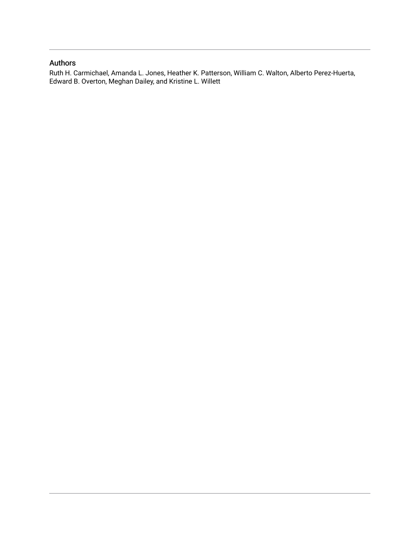## Authors

Ruth H. Carmichael, Amanda L. Jones, Heather K. Patterson, William C. Walton, Alberto Perez-Huerta, Edward B. Overton, Meghan Dailey, and Kristine L. Willett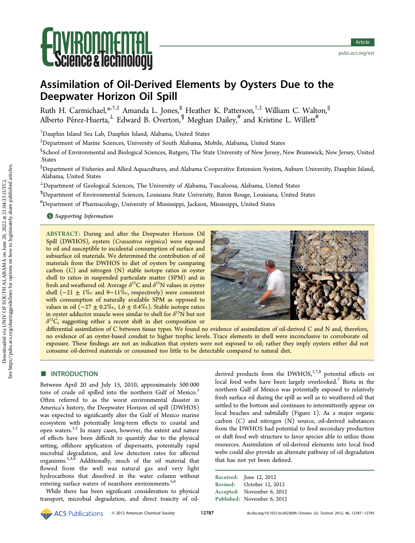# **IKUI IIIIIEI I IHL<br>ence & iechnology**

# Assimilation of Oil-Derived Elements by Oysters Due to the Deepwater Horizon Oil Spill

Ruth H. Carmichael,[\\*](#page-8-0)<sup>,†,‡</sup> Amanda L. Jones,<sup>§</sup> Heather K. Patterson,<sup>†,‡</sup> William C. Walton,<sup>∥</sup> Alberto Pérez-Huerta, $^\perp$  Edward B. Overton, $^\P$  Meghan Dailey, $^{\#}$  and Kristine L. Willett $^{\#}$ 

† Dauphin Island Sea Lab, Dauphin Island, Alabama, United States

‡ Department of Marine Sciences, University of South Alabama, Mobile, Alabama, United States

 $\rm ^\$$ School of Environmental and Biological Sciences, Rutgers, The State University of New Jersey, New Brunswick, New Jersey, United States

∥ Department of Fisheries and Allied Aquacultures, and Alabama Cooperative Extension System, Auburn University, Dauphin Island, Alabama, United States

<sup>⊥</sup>Department of Geological Sciences, The University of Alabama, Tuscaloosa, Alabama, United States

¶ Department of Environmental Sciences, Louisiana State University, Baton Rouge, Louisiana, United States

# Department of Pharmacology, University of Mississippi, Jackson, Mississippi, United States

#### **S** [Supporting Information](#page-8-0)

ABSTRACT: During and after the Deepwater Horizon Oil Spill (DWHOS), oysters (Crassostrea virginica) were exposed to oil and susceptible to incidental consumption of surface and subsurface oil materials. We determined the contribution of oil materials from the DWHOS to diet of oysters by comparing carbon (C) and nitrogen (N) stable isotope ratios in oyster shell to ratios in suspended particulate matter (SPM) and in fresh and weathered oil. Average  $\delta^{13}$ C and  $\delta^{15}$ N values in oyster shell  $(-21 ± 1\%$  and 9-11‰, respectively) were consistent with consumption of naturally available SPM as opposed to values in oil  $(-27 \pm 0.2\%$ <sub>0</sub>, 1.6 ± 0.4‰). Stable isotope ratios in oyster adductor muscle were similar to shell for  $\delta^{15}N$  but not  $\delta^{13}$ C, suggesting either a recent shift in diet composition or



differential assimilation of C between tissue types. We found no evidence of assimilation of oil-derived C and N and, therefore, no evidence of an oyster-based conduit to higher trophic levels. Trace elements in shell were inconclusive to corroborate oil exposure. These findings are not an indication that oysters were not exposed to oil; rather they imply oysters either did not consume oil-derived materials or consumed too little to be detectable compared to natural diet.

#### **■ INTRODUCTION**

Between April 20 and July 15, 2010, approximately 500 000 tons of crude oil spilled into the northern Gulf of Mexico.<sup>[1](#page-8-0)</sup> Often referred to as the worst environmental disaster in America's history, the Deepwater Horizon oil spill (DWHOS) was expected to significantly alter the Gulf of Mexico marine ecosystem with potentially long-term effects to coastal and open waters. $1,2$  $1,2$  $1,2$  In many cases, however, the extent and nature of effects have been difficult to quantify due to the physical setting, offshore application of dispersants, potentially rapid microbial degradation, and low detection rates for affected organisms.[1](#page-8-0),[3](#page-9-0),[4](#page-9-0) Additionally, much of the oil material that flowed from the well was natural gas and very light hydrocarbons that dissolved in the water column without entering surface waters of nearshore environments.<sup>[5](#page-9-0),[6](#page-9-0)</sup>

While there has been significant consideration to physical transport, microbial degradation, and direct toxicity of oil-

derived products from the DWHOS, $1,7,8$  $1,7,8$  $1,7,8$  $1,7,8$  $1,7,8$  potential effects on local food webs have been largely overlooked.<sup>[7](#page-9-0)</sup> Biota in the northern Gulf of Mexico was potentially exposed to relatively fresh surface oil during the spill as well as to weathered oil that settled to the bottom and continues to intermittently appear on local beaches and subtidally (Figure [1\)](#page-3-0). As a major organic carbon (C) and nitrogen (N) source, oil-derived substances from the DWHOS had potential to feed secondary production or shift food web structure to favor species able to utilize those resources. Assimilation of oil-derived elements into local food webs could also provide an alternate pathway of oil degradation that has not yet been defined.

|                 | Received: June 12, 2012     |
|-----------------|-----------------------------|
| <b>Revised:</b> | October 12, 2012            |
|                 | Accepted: November 6, 2012  |
|                 | Published: November 6, 2012 |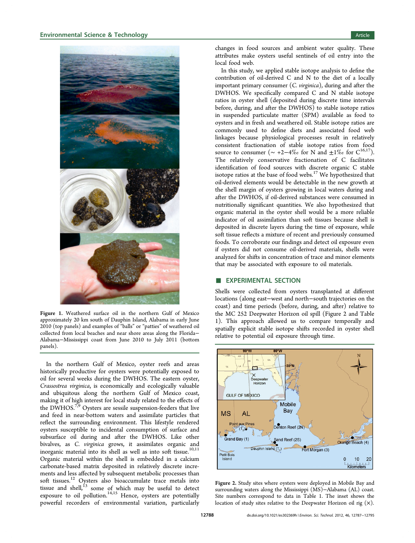<span id="page-3-0"></span>

Figure 1. Weathered surface oil in the northern Gulf of Mexico approximately 20 km south of Dauphin Island, Alabama in early June 2010 (top panels) and examples of "balls" or "patties" of weathered oil collected from local beaches and near shore areas along the Florida− Alabama−Mississippi coast from June 2010 to July 2011 (bottom panels).

In the northern Gulf of Mexico, oyster reefs and areas historically productive for oysters were potentially exposed to oil for several weeks during the DWHOS. The eastern oyster, Crassostrea virginica, is economically and ecologically valuable and ubiquitous along the northern Gulf of Mexico coast, making it of high interest for local study related to the effects of the DWHOS.<sup>[7](#page-9-0),[9](#page-9-0)</sup> Oysters are sessile suspension-feeders that live and feed in near-bottom waters and assimilate particles that reflect the surrounding environment. This lifestyle rendered oysters susceptible to incidental consumption of surface and subsurface oil during and after the DWHOS. Like other bivalves, as C. virginica grows, it assimilates organic and inorganic material into its shell as well as into soft tissue.<sup>[10,11](#page-9-0)</sup> Organic material within the shell is embedded in a calcium carbonate-based matrix deposited in relatively discrete increments and less affected by subsequent metabolic processes than soft tissues.<sup>[12](#page-9-0)</sup> Oysters also bioaccumulate trace metals into tissue and shell, $^{13}$  $^{13}$  $^{13}$  some of which may be useful to detect exposure to oil pollution. $14,15$  Hence, oysters are potentially powerful recorders of environmental variation, particularly

changes in food sources and ambient water quality. These attributes make oysters useful sentinels of oil entry into the local food web.

In this study, we applied stable isotope analysis to define the contribution of oil-derived C and N to the diet of a locally important primary consumer (C. virginica), during and after the DWHOS. We specifically compared C and N stable isotope ratios in oyster shell (deposited during discrete time intervals before, during, and after the DWHOS) to stable isotope ratios in suspended particulate matter (SPM) available as food to oysters and in fresh and weathered oil. Stable isotope ratios are commonly used to define diets and associated food web linkages because physiological processes result in relatively consistent fractionation of stable isotope ratios from food source to consumer ( $\sim +2-4\%$  for N and  $\pm 1\%$  for C<sup>[16](#page-9-0),17</sup>). The relatively conservative fractionation of C facilitates identification of food sources with discrete organic C stable isotope ratios at the base of food webs. $17$  We hypothesized that oil-derived elements would be detectable in the new growth at the shell margin of oysters growing in local waters during and after the DWHOS, if oil-derived substances were consumed in nutritionally significant quantities. We also hypothesized that organic material in the oyster shell would be a more reliable indicator of oil assimilation than soft tissues because shell is deposited in discrete layers during the time of exposure, while soft tissue reflects a mixture of recent and previously consumed foods. To corroborate our findings and detect oil exposure even if oysters did not consume oil-derived materials, shells were analyzed for shifts in concentration of trace and minor elements that may be associated with exposure to oil materials.

#### **EXPERIMENTAL SECTION**

Shells were collected from oysters transplanted at different locations (along east−west and north−south trajectories on the coast) and time periods (before, during, and after) relative to the MC 252 Deepwater Horizon oil spill (Figure 2 and Table [1](#page-4-0)). This approach allowed us to compare temporally and spatially explicit stable isotope shifts recorded in oyster shell relative to potential oil exposure through time.



Figure 2. Study sites where oysters were deployed in Mobile Bay and surrounding waters along the Mississippi (MS)−Alabama (AL) coast. Site numbers correspond to data in Table [1](#page-4-0). The inset shows the location of study sites relative to the Deepwater Horizon oil rig  $(x)$ .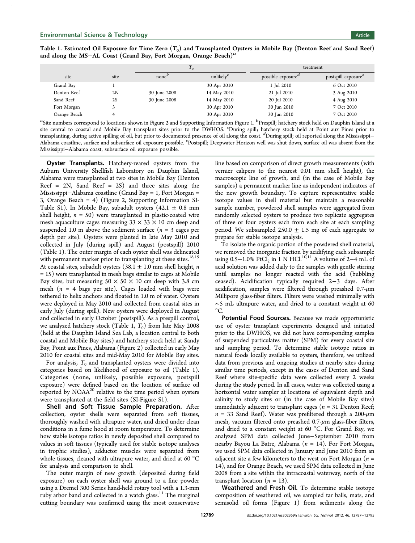<span id="page-4-0"></span>Table 1. Estimated Oil Exposure for Time Zero  $(T_0)$  and Transplanted Oysters in Mobile Bay (Denton Reef and Sand Reef) and along the MS−AL Coast (Grand Bay, Fort Morgan, Orange Beach)<sup>a</sup>

|              |      | $T_0$             |                     | treatment                      |                                 |
|--------------|------|-------------------|---------------------|--------------------------------|---------------------------------|
| site         | site | none <sup>'</sup> | unlikely $\epsilon$ | possible exposure <sup>a</sup> | postspill exposure <sup>e</sup> |
| Grand Bay    |      |                   | 30 Apr 2010         | 1 Jul 2010                     | 6 Oct 2010                      |
| Denton Reef  | 2N   | 30 June 2008      | 14 May 2010         | 21 Jul 2010                    | 3 Aug 2010                      |
| Sand Reef    | 2S   | 30 June 2008      | 14 May 2010         | 20 Jul 2010                    | 4 Aug 2010                      |
| Fort Morgan  |      |                   | 30 Apr 2010         | 30 Jun 2010                    | 7 Oct 2010                      |
| Orange Beach |      |                   | 30 Apr 2010         | 30 Jun 2010                    | 7 Oct 2010                      |

 ${}^a\!{\rm Site}$  numbers correspond to locations shown in Figure [2](#page-3-0) and [Supporting Information](#page-8-0) Figure 1.  ${}^b\!{\rm Prespill}$ ; hatchery stock held on Dauphin Island at a site central to coastal and Mobile Bay transplant sites prior to the DWHOS. <sup>c</sup> During spill; hatchery stock held at Point aux Pines prior to transplanting, during active spilling of oil, but prior to documented presence of oil along the coast. <sup>d</sup>During spill; oil reported along the Mississippi– Alabama coastline, surface and subsurface oil exposure possible. <sup>e</sup>Postspill; Deepwater Horizon well was shut down, surface oil was absent from the Mississippi−Alabama coast, subsurface oil exposure possible.

**Oyster Transplants.** Hatchery-reared oysters from the Auburn University Shellfish Laboratory on Dauphin Island, Alabama were transplanted at two sites in Mobile Bay (Denton Reef =  $2N$ , Sand Reef =  $2S$ ) and three sites along the Mississippi−Alabama coastline (Grand Bay = 1, Fort Morgan = 3, Orange Beach = 4) (Figure [2](#page-3-0), [Supporting Information SI-](#page-8-0)[Table S1\)](#page-8-0). In Mobile Bay, subadult oysters  $(42.1 \pm 0.8 \text{ mm})$ shell height,  $n = 50$ ) were transplanted in plastic-coated wire mesh aquaculture cages measuring  $33 \times 33 \times 10$  cm deep and suspended 1.0 m above the sediment surface ( $n = 3$  cages per depth per site). Oysters were planted in late May 2010 and collected in July (during spill) and August (postspill) 2010 (Table 1). The outer margin of each oyster shell was delineated with permanent marker prior to transplanting at these sites.<sup>[18,19](#page-9-0)</sup> At coastal sites, subadult oysters  $(38.1 \pm 1.0 \text{ mm}$  shell height, *n* = 15) were transplanted in mesh bags similar to cages at Mobile Bay sites, but measuring  $50 \times 50 \times 10$  cm deep with 3.8 cm mesh ( $n = 4$  bags per site). Cages loaded with bags were tethered to helix anchors and floated in 1.0 m of water. Oysters were deployed in May 2010 and collected from coastal sites in early July (during spill). New oysters were deployed in August and collected in early October (postspill). As a prespill control, we analyzed hatchery stock (Table 1,  $T_0$ ) from late May 2008 (held at the Dauphin Island Sea Lab, a location central to both coastal and Mobile Bay sites) and hatchery stock held at Sandy Bay, Point aux Pines, Alabama (Figure [2\)](#page-3-0) collected in early May 2010 for coastal sites and mid-May 2010 for Mobile Bay sites.

For analysis,  $T_0$  and transplanted oysters were divided into categories based on likelihood of exposure to oil (Table 1). Categories (none, unlikely, possible exposure, postspill exposure) were defined based on the location of surface oil reported by  $NOAA^{20}$  relative to the time period when oysters were transplanted at the field sites [\(SI-Figure S1\)](#page-8-0).

Shell and Soft Tissue Sample Preparation. After collection, oyster shells were separated from soft tissues, thoroughly washed with ultrapure water, and dried under clean conditions in a fume hood at room temperature. To determine how stable isotope ratios in newly deposited shell compared to values in soft tissues (typically used for stable isotope analyses in trophic studies), adductor muscles were separated from whole tissues, cleaned with ultrapure water, and dried at 60 °C for analysis and comparison to shell.

The outer margin of new growth (deposited during field exposure) on each oyster shell was ground to a fine powder using a Dremel 300 Series hand-held rotary tool with a 1.3-mm ruby arbor band and collected in a watch glass.<sup>[11](#page-9-0)</sup> The marginal cutting boundary was confirmed using the most conservative line based on comparison of direct growth measurements (with vernier calipers to the nearest 0.01 mm shell height), the macroscopic line of growth, and (in the case of Mobile Bay samples) a permanent marker line as independent indicators of the new growth boundary. To capture representative stable isotope values in shell material but maintain a reasonable sample number, powdered shell samples were aggregated from randomly selected oysters to produce two replicate aggregates of three or four oysters each from each site at each sampling period. We subsampled  $250.0 \pm 1.5$  mg of each aggregate to prepare for stable isotope analysis.

To isolate the organic portion of the powdered shell material, we removed the inorganic fraction by acidifying each subsample using 0.5−1.0% PtCl<sub>2</sub> in 1 N HCl.<sup>[10,11](#page-9-0)</sup> A volume of 2−4 mL of acid solution was added daily to the samples with gentle stirring until samples no longer reacted with the acid (bubbling ceased). Acidification typically required 2−3 days. After acidification, samples were filtered through preashed  $0.7 - \mu m$ Millipore glass-fiber filters. Filters were washed minimally with ∼5 mL ultrapure water, and dried to a constant weight at 60  $\rm{^{\circ}C}.$ 

Potential Food Sources. Because we made opportunistic use of oyster transplant experiments designed and initiated prior to the DWHOS, we did not have corresponding samples of suspended particulates matter (SPM) for every coastal site and sampling period. To determine stable isotope ratios in natural foods locally available to oysters, therefore, we utilized data from previous and ongoing studies at nearby sites during similar time periods, except in the cases of Denton and Sand Reef where site-specific data were collected every 2 weeks during the study period. In all cases, water was collected using a horizontal water sampler at locations of equivalent depth and salinity to study sites or (in the case of Mobile Bay sites) immediately adjacent to transplant cages ( $n = 31$  Denton Reef;  $n = 33$  Sand Reef). Water was prefiltered through a 200- $\mu$ m mesh, vacuum filtered onto preashed 0.7-μm glass-fiber filters, and dried to a constant weight at 60 °C. For Grand Bay, we analyzed SPM data collected June−September 2010 from nearby Bayou La Batre, Alabama ( $n = 14$ ). For Fort Morgan, we used SPM data collected in January and June 2010 from an adjacent site a few kilometers to the west on Fort Morgan ( $n =$ 14), and for Orange Beach, we used SPM data collected in June 2008 from a site within the intracoastal waterway, north of the transplant location  $(n = 13)$ .

Weathered and Fresh Oil. To determine stable isotope composition of weathered oil, we sampled tar balls, mats, and semisolid oil forms (Figure [1\)](#page-3-0) from sediments along the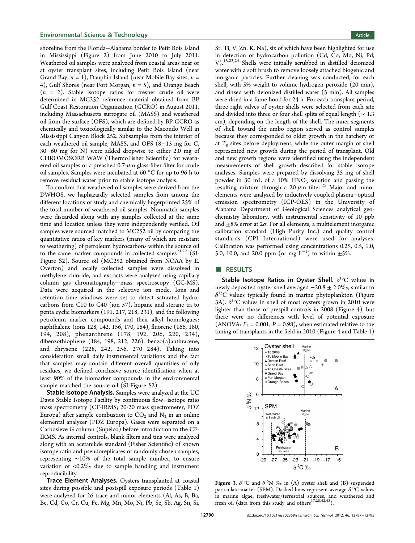<span id="page-5-0"></span>shoreline from the Florida−Alabama border to Petit Bois Island in Mississippi (Figure [2\)](#page-3-0) from June 2010 to July 2011. Weathered oil samples were analyzed from coastal areas near or at oyster transplant sites, including Petit Bois Island (near Grand Bay,  $n = 1$ ), Dauphin Island (near Mobile Bay sites,  $n =$ 4), Gulf Shores (near Fort Morgan,  $n = 5$ ), and Orange Beach  $(n = 2)$ . Stable isotope ratios for fresher crude oil were determined in MC252 reference material obtained from BP Gulf Coast Restoration Organization (GCRO) in August 2011, including Massachusetts surrogate oil (MASS) and weathered oil from the surface (OFS), which are defined by BP GCRO as chemically and toxicologically similar to the Macondo Well in Mississippi Canyon Block 252. Subsamples from the interior of each weathered oil sample, MASS, and OFS (8−13 mg for C, 30−60 mg for N) were added dropwise to either 2.0 mg of CHROMOSORB WAW (ThermoFisher Scientific) for weathered oil samples or a preashed  $0.7$ - $\mu$ m glass-fiber filter for crude oil samples. Samples were incubated at 60 °C for up to 96 h to remove residual water prior to stable isotope analysis.

To confirm that weathered oil samples were derived from the DWHOS, we haphazardly selected samples from among the different locations of study and chemically fingerprinted 25% of the total number of weathered oil samples. Nonmatch samples were discarded along with any samples collected at the same time and location unless they were independently verified. Oil samples were sourced matched to MC252 oil by comparing the quantitative ratios of key markers (many of which are resistant to weathering) of petroleum hydrocarbons within the source oil to the same marker compounds in collected samples<sup>[21,22](#page-9-0)</sup> ([SI-](#page-8-0)[Figure S2](#page-8-0)). Source oil (MC252 obtained from NOAA by E. Overton) and locally collected samples were dissolved in methylene chloride, and extracts were analyzed using capillary column gas chromatography−mass spectroscopy (GC-MS). Data were acquired in the selective ion mode. Ions and retention time windows were set to detect saturated hydrocarbons from C10 to C40 (ion 57), hopane and sterane tri to penta cyclic biomarkers (191, 217, 218, 231), and the following petroleum marker compounds and their alkyl homologues: naphthalene (ions 128, 142, 156, 170, 184), fluorene (166, 180, 194, 208), phenanthrene (178, 192, 206, 220, 234), dibenzothiophene (184, 198, 212, 226), benzo(a)anthracene, and chrysene (228, 242, 256, 270 284). Taking into consideration small daily instrumental variations and the fact that samples may contain different overall quantities of oily residues, we defined conclusive source identification when at least 90% of the biomarker compounds in the environmental sample matched the source oil ([SI-Figure S2](#page-8-0)).

Stable Isotope Analysis. Samples were analyzed at the UC Davis Stable Isotope Facility by continuous flow−isotope ratio mass spectrometry (CF-IRMS; 20-20 mass spectrometer, PDZ Europa) after sample combustion to  $CO<sub>2</sub>$  and  $N<sub>2</sub>$  in an online elemental analyzer (PDZ Europa). Gases were separated on a Carbosieve G column (Supelco) before introduction to the CF-IRMS. As internal controls, blank filters and tins were analyzed along with an acetanilide standard (Fisher Scientific) of known isotope ratio and pseudoreplicates of randomly chosen samples, representing ∼10% of the total sample number, to ensure variation of <0.2‰ due to sample handling and instrument reproducibility.

Trace Element Analyses. Oysters transplanted at coastal sites during possible and postspill exposure periods (Table [1\)](#page-4-0) were analyzed for 26 trace and minor elements (Al, As, B, Ba, Be, Cd, Co, Cr, Cu, Fe, Mg, Mn, Mo, Ni, Pb, Se, Sb, Ag, Sn, Si,

Sr, Ti, V, Zn, K, Na), six of which have been highlighted for use in detection of hydrocarbon pollution (Cd, Co, Mo, Ni, Pd, V).[15,23](#page-9-0),[24](#page-9-0) Shells were initially scrubbed in distilled deionized water with a soft brush to remove loosely attached biogenic and inorganic particles. Further cleaning was conducted, for each shell, with 5% weight to volume hydrogen peroxide (20 min), and rinsed with deionized distilled water (5 min). All samples were dried in a fume hood for 24 h. For each transplant period, three right valves of oyster shells were selected from each site and divided into three or four shell splits of equal length (∼ 1.3 cm), depending on the length of the shell. The inner segments of shell toward the umbo region served as control samples because they corresponded to older growth in the hatchery or at  $T_0$  sites before deployment, while the outer margin of shell represented new growth during the period of transplant. Old and new growth regions were identified using the independent measurements of shell growth described for stable isotope analyses. Samples were prepared by dissolving 35 mg of shell powder in 30 mL of a  $10\%$  HNO<sub>3</sub> solution and passing the resulting mixture through a  $20-\mu m$  filter.<sup>[25](#page-9-0)</sup> Major and minor elements were analyzed by inductively coupled plasma−optical emission spectrometry (ICP-OES) in the University of Alabama Department of Geological Sciences analytical geochemistry laboratory, with instrumental sensitivity of 10 ppb and  $\pm 8\%$  error at  $2\sigma$ . For all elements, a multielement inorganic calibration standard (High Purity Inc.) and quality control standards (CPI International) were used for analyses. Calibration was performed using concentrations 0.25, 0.5, 1.0, 5.0, 10.0, and 20.0 ppm (or mg  $L^{-1}$ ) to within  $\pm$ 5%.

#### **B** RESULTS

Stable Isotope Ratios in Oyster Shell.  $\delta^{13}C$  values in newly deposited oyster shell averaged  $-20.8 \pm 2.0\%$ , similar to  $\delta^{13}$ C values typically found in marine phytoplankton (Figure 3A).  $\delta^{13}$ C values in shell of most oysters grown in 2010 were lighter than those of prespill controls in 2008 (Figure [4](#page-6-0)), but there were no differences with level of potential exposure (ANOVA:  $F_2 = 0.001$ ,  $P = 0.98$ ), when estimated relative to the timing of transplants in the field in 2010 (Figure [4](#page-6-0) and Table [1\)](#page-4-0)



Figure 3.  $\delta^{13}C$  and  $\delta^{15}N$  % in (A) oyster shell and (B) suspended particulate matter (SPM). Dashed lines represent average  $\delta^{13}C$  values in marine algae, freshwater/terrestrial sources, and weathered and fresh oil (data from this study and others<sup>[17,28,](#page-9-0)[42](#page-10-0),[43](#page-10-0)</sup>).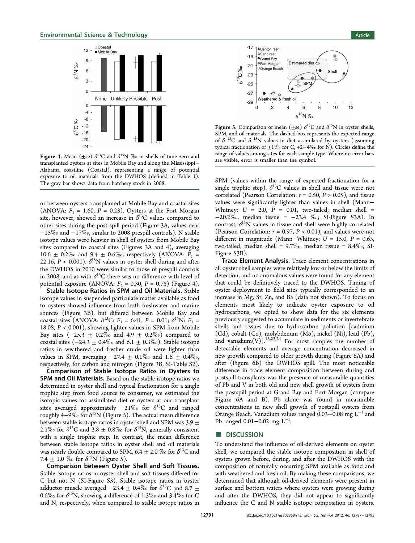<span id="page-6-0"></span>

Figure 4. Mean ( $\pm$ se)  $\delta^{13}$ C and  $\delta^{15}$ N ‰ in shells of time zero and transplanted oysters at sites in Mobile Bay and along the Mississippi− Alabama coastline (Coastal), representing a range of potential exposure to oil materials from the DWHOS (defined in Table [1](#page-4-0)). The gray bar shows data from hatchery stock in 2008.

or between oysters transplanted at Mobile Bay and coastal sites (ANOVA:  $F_1 = 1.60$ ,  $P = 0.23$ ). Oysters at the Fort Morgan site, however, showed an increase in  $\delta^{13}$ C values compared to other sites during the post spill period (Figure [3A](#page-5-0), values near −15‰ and −17‰, similar to 2008 prespill controls). N stable isotope values were heavier in shell of oysters from Mobile Bay sites compared to coastal sites (Figures [3A](#page-5-0) and 4), averaging 10.6  $\pm$  0.2‰ and 9.4  $\pm$  0.6‰, respectively (ANOVA:  $F_1$  = 22.16,  $P < 0.001$ ).  $\delta^{15}N$  values in oyster shell during and after the DWHOS in 2010 were similar to those of prespill controls in 2008, and as with  $\delta^{13}$ C there was no difference with level of potential exposure (ANOVA:  $F_2 = 0.30$ ,  $P = 0.75$ ) (Figure 4).

Stable Isotope Ratios in SPM and Oil Materials. Stable isotope values in suspended particulate matter available as food to oysters showed influence from both freshwater and marine sources (Figure [3](#page-5-0)B), but differed between Mobile Bay and coastal sites (ANOVA:  $\delta^{13}C$ :  $F_1 = 6.41$ ,  $P = 0.01$ ;  $\delta^{15}N$ :  $F_1 =$ 18.08, P < 0.001), showing lighter values in SPM from Mobile Bay sites  $(-25.3 \pm 0.2\%$  and  $4.9 \pm 0.2\%$  compared to coastal sites  $(-24.3 \pm 0.4\% \text{ and } 6.1 \pm 0.3\% \text{).}$  Stable isotope ratios in weathered and fresher crude oil were lighter than values in SPM, averaging  $-27.4 \pm 0.1\%$  and  $1.6 \pm 0.4\%$ , respectively, for carbon and nitrogen (Figure [3](#page-5-0)B, [SI-Table S2\)](#page-8-0).

Comparison of Stable Isotope Ratios in Oysters to SPM and Oil Materials. Based on the stable isotope ratios we determined in oyster shell and typical fractionation for a single trophic step from food source to consumer, we estimated the isotopic values for assimilated diet of oysters at our transplant sites averaged approximately  $-21\%$  for  $\delta^{13}$ C and ranged roughly 4–9‰ for  $\delta^{15}N$  (Figure 5). The actual mean difference between stable isotope ratios in oyster shell and SPM was  $3.9 \pm$ 2.1‰ for  $\delta^{13}C$  and 3.8  $\pm$  0.8‰ for  $\delta^{15}N$ , generally consistent with a single trophic step. In contrast, the mean difference between stable isotope ratios in oyster shell and oil materials was nearly double compared to SPM, 6.4  $\pm$  2.0 ‰ for  $\delta^{13}C$  and 7.4  $\pm$  1.0 % for  $\delta^{15}N$  (Figure 5).

Comparison between Oyster Shell and Soft Tissues. Stable isotope ratios in oyster shell and soft tissues differed for C but not N ([SI-Figure S3\)](#page-8-0). Stable isotope ratios in oyster adductor muscle averaged  $-23.4 \pm 0.4\%$  for  $\delta^{13}$ C and 8.7  $\pm$ 0.6‰ for  $\delta^{15}N$ , showing a difference of 1.3‰ and 3.4‰ for C and N, respectively, when compared to stable isotope ratios in



Figure 5. Comparison of mean ( $\pm$ se)  $\delta^{13}$ C and  $\delta^{15}$ N in oyster shells, SPM, and oil materials. The dashed box represents the expected range of  $\delta$ <sup>13</sup>C and  $\delta$ <sup>15</sup>N values in diet assimilated by oysters (assuming typical fractionation of ±1‰ for C, +2−4‰ for N). Circles define the range of values among sites for each sample type. Where no error bars are visible, error is smaller than the symbol.

SPM (values within the range of expected fractionation for a single trophic step).  $\delta^{13}$ C values in shell and tissue were not correlated (Pearson Correlation:  $r = 0.50$ ,  $P > 0.05$ ), and tissue values were significantly lighter than values in shell (Mann− Whitney:  $U = 2.0$ ,  $P = 0.01$ , two-tailed; median shell = −20.2‰, median tissue = −23.4 ‰; [SI-Figure S3A](#page-8-0)). In contrast,  $\delta^{15}N$  values in tissue and shell were highly correlated (Pearson Correlation:  $r = 0.97$ ,  $P < 0.01$ ), and values were not different in magnitude (Mann–Whitney:  $U = 15.0$ ,  $P = 0.63$ , two-tailed; median shell = 9.7‰, median tissue = 8.4‰; [SI-](#page-8-0)[Figure S3B](#page-8-0)).

Trace Element Analysis. Trace element concentrations in all oyster shell samples were relatively low or below the limits of detection, and no anomalous values were found for any element that could be definitively traced to the DWHOS. Timing of oyster deployment to field sites typically corresponded to an increase in Mg, Sr, Zn, and Ba (data not shown). To focus on elements most likely to indicate oyster exposure to oil hydrocarbons, we opted to show data for the six elements previously suggested to accumulate in sediments or invertebrate shells and tissues due to hydrocarbon pollution [cadmium (Cd), cobalt (Co), molybdenum (Mo), nickel (Ni), lead (Pb), and vanadium $(V)$ ].<sup>[15,23](#page-9-0),[24](#page-9-0)</sup> For most samples the number of detectable elements and average concentration decreased in new growth compared to older growth during (Figure [6A](#page-7-0)) and after (Figure [6](#page-7-0)B) the DWHOS spill. The most noticeable difference in trace element composition between during and postspill transplants was the presence of measurable quantities of Pb and V in both old and new shell growth of oysters from the postspill period at Grand Bay and Fort Morgan (compare Figure [6A](#page-7-0) and B). Pb alone was found in measurable concentrations in new shell growth of postspill oysters from Orange Beach. Vanadium values ranged 0.03–0.08 mg  $L^{-1}$  and Pb ranged 0.01–0.02 mg L<sup>-1</sup>. .

#### ■ DISCUSSION

To understand the influence of oil-derived elements on oyster shell, we compared the stable isotope composition in shell of oysters grown before, during, and after the DWHOS with the composition of naturally occurring SPM available as food and with weathered and fresh oil. By making these comparisons, we determined that although oil-derived elements were present in surface and bottom waters where oysters were growing during and after the DWHOS, they did not appear to significantly influence the C and N stable isotope composition in oysters.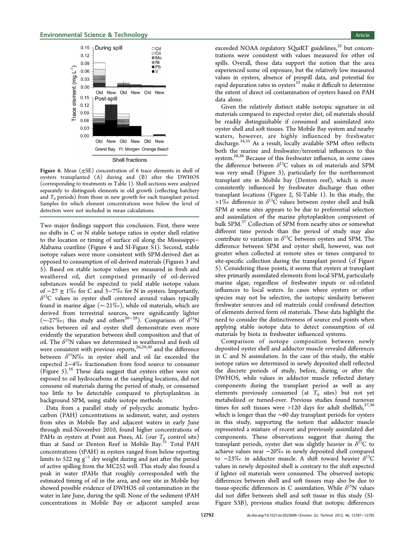<span id="page-7-0"></span>

Shell fractions

Figure 6. Mean  $(\pm \text{SE})$  concentration of 6 trace elements in shell of oysters transplanted (A) during and (B) after the DWHOS (corresponding to treatments in Table [1](#page-4-0)). Shell sections were analyzed separately to distinguish elements in old growth (reflecting hatchery and  $T_0$  periods) from those in new growth for each transplant period. Samples for which element concentrations were below the level of detection were not included in mean calculations.

Two major findings support this conclusion. First, there were no shifts in C or N stable isotope ratios in oyster shell relative to the location or timing of surface oil along the Mississippi− Alabama coastline (Figure [4](#page-6-0) and [SI-Figure S1\)](#page-8-0). Second, stable isotope values were more consistent with SPM-derived diet as opposed to consumption of oil-derived materials (Figures [3](#page-5-0) and [5](#page-6-0)). Based on stable isotope values we measured in fresh and weathered oil, diet comprised primarily of oil-derived substances would be expected to yield stable isotope values of  $-27 \pm 1\%$  for C and 3 $-7\%$  for N in oysters. Importantly,  $\delta^{13}$ C values in oyster shell centered around values typically found in marine algae (∼-21‰), while oil materials, which are derived from terrestrial sources, were significantly lighter ( $\sim$ -27‰; this study and others<sup>[26](#page-9-0)–[28](#page-9-0)</sup>). Comparison of  $\delta^{15}N$ ratios between oil and oyster shell demonstrate even more evidently the separation between shell composition and that of oil. The  $\delta^{15}N$  values we determined in weathered and fresh oil were consistent with previous reports, $26,29,30$  $26,29,30$  $26,29,30$  and the difference between  $\delta^{15}N\%$  in oyster shell and oil far exceeded the expected 2−4‰ fractionation from food source to consumer (Figure [5](#page-6-0)).[16](#page-9-0) These data suggest that oysters either were not exposed to oil hydrocarbons at the sampling locations, did not consume oil materials during the period of study, or consumed too little to be detectable compared to phytoplankton in background SPM, using stable isotope methods.

Data from a parallel study of polycyclic aromatic hydrocarbon (PAH) concentrations in sediment, water, and oysters from sites in Mobile Bay and adjacent waters in early June through mid-November 2010, found higher concentrations of PAHs in oysters at Point aux Pines, AL (our  $T_{\textrm{Q}}$  control site) than at Sand or Denton Reef in Mobile Bay.<sup>[31](#page-9-0)</sup> Total PAH concentrations (tPAH) in oysters ranged from below reporting limits to 522 ng  $g^{-1}$  dry weight during and just after the period of active spilling from the MC252 well. This study also found a peak in water tPAHs that roughly corresponded with the estimated timing of oil in the area, and one site in Mobile bay showed possible evidence of DWHOS oil contamination in the water in late June, during the spill. None of the sediment tPAH concentrations in Mobile Bay or adjacent sampled areas

exceeded NOAA regulatory SQuiRT guidelines,<sup>[32](#page-9-0)</sup> but concentrations were consistent with values measured for other oil spills. Overall, these data support the notion that the area experienced some oil exposure, but the relatively low measured values in oysters, absence of prespill data, and potential for rapid depuration rates in oysters $33 \text{ make it difficult to determine}$  $33 \text{ make it difficult to determine}$ the extent of direct oil contamination of oysters based on PAH data alone.

Given the relatively distinct stable isotopic signature in oil materials compared to expected oyster diet, oil materials should be readily distinguishable if consumed and assimilated into oyster shell and soft tissues. The Mobile Bay system and nearby waters, however, are highly influenced by freshwater discharge.<sup>[34,35](#page-9-0)</sup> As a result, locally available SPM often reflects both the marine and freshwater/terrestrial influences to this system.[28](#page-9-0),[36](#page-9-0) Because of this freshwater influence, in some cases the difference between  $\delta^{13}$ C values in oil materials and SPM was very small (Figure [3\)](#page-5-0), particularly for the northernmost transplant site in Mobile bay (Denton reef), which is more consistently influenced by freshwater discharge than other transplant locations (Figure [2](#page-3-0), [SI-Table 1\)](#page-8-0). In this study, the >1% difference in  $\delta^{13}$ C values between oyster shell and bulk SPM at some sites appears to be due to preferential selection and assimilation of the marine phytoplankton component of bulk SPM.<sup>[37](#page-9-0)</sup> Collection of SPM from nearby sites or somewhat different time periods than the period of study may also contribute to variation in  $\delta^{13}$ C between oysters and SPM. The difference between SPM and oyster shell, however, was not greater when collected at remote sites or times compared to site-specific collection during the transplant period (cf Figure [5](#page-6-0)). Considering these points, it seems that oysters at transplant sites primarily assimilated elements from local SPM, particularly marine algae, regardless of freshwater inputs or oil-related influences to local waters. In cases where oysters or other species may not be selective, the isotopic similarity between freshwater sources and oil materials could confound detection of elements derived form oil materials. These data highlight the need to consider the distinctiveness of source end points when applying stable isotope data to detect consumption of oil materials by biota in freshwater influenced systems.

Comparison of isotope composition between newly deposited oyster shell and adductor muscle revealed differences in C and N assimilation. In the case of this study, the stable isotope ratios we determined in newly deposited shell reflected the discrete periods of study, before, during, or after the DWHOS, while values in adductor muscle reflected dietary components during the transplant period as well as any elements previously consumed (at  $T_0$  sites) but not yet metabolized or turned-over. Previous studies found turnover times for soft tissues were >120 days for adult shellfish,  $37,38$  $37,38$ which is longer than the ∼60 day transplant periods for oysters in this study, supporting the notion that adductor muscle represented a mixture of recent and previously assimilated diet components. These observations suggest that during the transplant periods, oyster diet was slightly heavier in  $\delta^{13}C$  to achieve values near −20‰ in newly deposited shell compared to  $-23\%$  in adductor muscle. A shift toward heavier  $\delta^{13}$ C values in newly deposited shell is contrary to the shift expected if lighter oil materials were consumed. The observed isotopic differences between shell and soft tissues may also be due to tissue-specific differences in C assimilation. While  $\delta^{15}N$  values did not differ between shell and soft tissue in this study ([SI-](#page-8-0)[Figure S3B](#page-8-0)), previous studies found that isotopic differences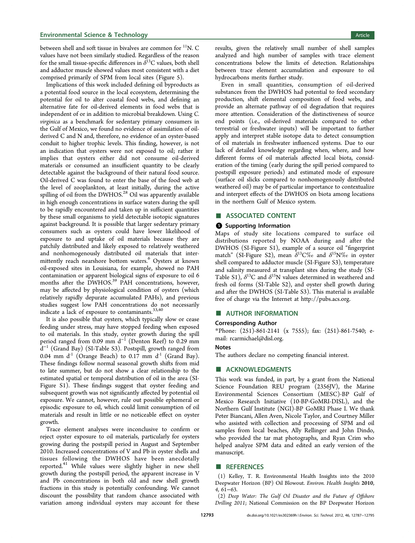<span id="page-8-0"></span>between shell and soft tissue in bivalves are common for  ${}^{11}N$ . C values have not been similarly studied. Regardless of the reason for the small tissue-specific differences in  $\delta^{13}$ C values, both shell and adductor muscle showed values most consistent with a diet comprised primarily of SPM from local sites (Figure [5](#page-6-0)).

Implications of this work included defining oil byproducts as a potential food source in the local ecosystem, determining the potential for oil to alter coastal food webs, and defining an alternative fate for oil-derived elements in food webs that is independent of or in addition to microbial breakdown. Using C. virginica as a benchmark for sedentary primary consumers in the Gulf of Mexico, we found no evidence of assimilation of oilderived C and N and, therefore, no evidence of an oyster-based conduit to higher trophic levels. This finding, however, is not an indication that oysters were not exposed to oil; rather it implies that oysters either did not consume oil-derived materials or consumed an insufficient quantity to be clearly detectable against the background of their natural food source. Oil-derived C was found to enter the base of the food web at the level of zooplankton, at least initially, during the active spilling of oil from the DWHOS.<sup>[28](#page-9-0)</sup> Oil was apparently available in high enough concentrations in surface waters during the spill to be rapidly encountered and taken up in sufficient quantities by these small organisms to yield detectable isotopic signatures against background. It is possible that larger sedentary primary consumers such as oysters could have lower likelihood of exposure to and uptake of oil materials because they are patchily distributed and likely exposed to relatively weathered and nonhomogenously distributed oil materials that inter-mittently reach nearshore bottom waters.<sup>[6](#page-9-0)</sup> Oysters at known oil-exposed sites in Louisiana, for example, showed no PAH contamination or apparent biological signs of exposure to oil 6 months after the DWHOS.<sup>39</sup> PAH concentrations, however, may be affected by physiological condition of oysters (which relatively rapidly depurate accumulated PAHs), and previous studies suggest low PAH concentrations do not necessarily indicate a lack of exposure to contaminants.<sup>[33](#page-9-0),[40](#page-10-0)</sup>

It is also possible that oysters, which typically slow or cease feeding under stress, may have stopped feeding when exposed to oil materials. In this study, oyster growth during the spill period ranged from 0.09 mm d<sup>-1</sup> (Denton Reef) to 0.29 mm  $\overline{d}^{-1}$  (Grand Bay) (SI-Table S3). Postspill, growth ranged from 0.04 mm  $d<sup>-1</sup>$  (Orange Beach) to 0.17 mm  $d<sup>-1</sup>$  (Grand Bay). These findings follow normal seasonal growth shifts from mid to late summer, but do not show a clear relationship to the estimated spatial or temporal distribution of oil in the area (SI-Figure S1). These findings suggest that oyster feeding and subsequent growth was not significantly affected by potential oil exposure. We cannot, however, rule out possible ephemeral or episodic exposure to oil, which could limit consumption of oil materials and result in little or no noticeable effect on oyster growth.

Trace element analyses were inconclusive to confirm or reject oyster exposure to oil materials, particularly for oysters growing during the postspill period in August and September 2010. Increased concentrations of V and Pb in oyster shells and tissues following the DWHOS have been anecdotally reported.<sup>[41](#page-10-0)</sup> While values were slightly higher in new shell growth during the postspill period, the apparent increase in V and Pb concentrations in both old and new shell growth fractions in this study is potentially confounding. We cannot discount the possibility that random chance associated with variation among individual oysters may account for these

results, given the relatively small number of shell samples analyzed and high number of samples with trace element concentrations below the limits of detection. Relationships between trace element accumulation and exposure to oil hydrocarbons merits further study.

Even in small quantities, consumption of oil-derived substances from the DWHOS had potential to feed secondary production, shift elemental composition of food webs, and provide an alternate pathway of oil degradation that requires more attention. Consideration of the distinctiveness of source end points (i.e., oil-derived materials compared to other terrestrial or freshwater inputs) will be important to further apply and interpret stable isotope data to detect consumption of oil materials in freshwater influenced systems. Due to our lack of detailed knowledge regarding when, where, and how different forms of oil materials affected local biota, consideration of the timing (early during the spill period compared to postspill exposure periods) and estimated mode of exposure (surface oil slicks compared to nonhomogenously distributed weathered oil) may be of particular importance to contextualize and interpret effects of the DWHOS on biota among locations in the northern Gulf of Mexico system.

## ■ ASSOCIATED CONTENT

#### **6** Supporting Information

Maps of study site locations compared to surface oil distributions reported by NOAA during and after the DWHOS (SI-Figure S1), example of a source oil "fingerprint match" (SI-Figure S2), mean  $\delta^{13}C\%$  and  $\delta^{15}N\%$  in oyster shell compared to adductor muscle (SI-Figure S3), temperature and salinity measured at transplant sites during the study (SI-Table S1),  $\delta^{13}C$  and  $\delta^{15}N$  values determined in weathered and fresh oil forms (SI-Table S2), and oyster shell growth during and after the DWHOS (SI-Table S3). This material is available free of charge via the Internet at [http://pubs.acs.org.](http://pubs.acs.org)

#### ■ AUTHOR INFORMATION

#### Corresponding Author

\*Phone: (251)-861-2141 (x 7555); fax: (251)-861-7540; email: [rcarmichael@disl.org.](mailto:rcarmichael@disl.org)

#### Notes

The authors declare no competing financial interest.

#### ■ ACKNOWLEDGMENTS

This work was funded, in part, by a grant from the National Science Foundation REU program (2356JV), the Marine Environmental Sciences Consortium (MESC)-BP Gulf of Mexico Research Initiative (10-BP-GoMRI-DISL), and the Northern Gulf Institute (NGI)-BP GoMRI Phase I. We thank Peter Biancani, Allen Aven, Nicole Taylor, and Courtney Miller who assisted with collection and processing of SPM and oil samples from local beaches, Ally Rellinger and John Dindo, who provided the tar mat photographs, and Ryan Crim who helped analyze SPM data and edited an early version of the manuscript.

#### ■ REFERENCES

(1) Kelley, T. R. Environmental Health Insights into the 2010 Deepwater Horizon (BP) Oil Blowout. Environ. Health Insights 2010, 4, 61−63.

(2) Deep Water: The Gulf Oil Disaster and the Future of Offshore Drilling 2011; National Commission on the BP Deepwater Horizon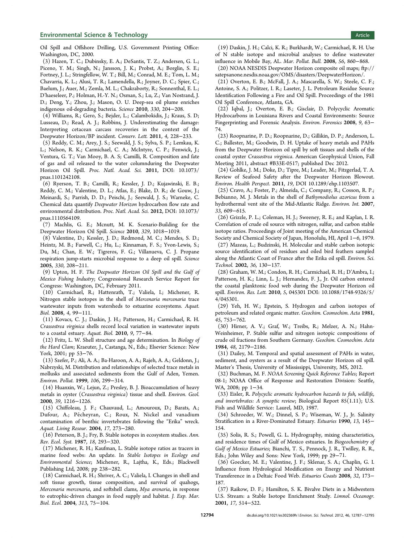#### <span id="page-9-0"></span>**Environmental Science & Technology Article** Article 30 and 30 and 30 and 30 and 30 and 30 and 30 and 30 and 30 and 30 and 30 and 30 and 30 and 30 and 30 and 30 and 30 and 30 and 30 and 30 and 30 and 30 and 30 and 30 and 3

Oil Spill and Offshore Drilling, U.S. Government Printing Office: Washington, DC, 2000.

(3) Hazen, T. C.; Dubinsky, E. A.; DeSantis, T. Z.; Andersen, G. L.; Piceno, Y. M.; Singh, N.; Jansson, J. K.; Probst, A.; Borglin, S. E.; Fortney, J. L.; Stringfellow, W. T.; Bill, M.; Conrad, M. E.; Tom, L. M.; Chavarria, K. L.; Alusi, T. R.; Lamendella, R.; Joyner, D. C.; Spier, C.; Baelum, J.; Auer, M.; Zemla, M. L.; Chakraborty, R.; Sonnenthal, E. L.; D'haeseleer, P.; Holman, H.-Y. N.; Osman, S.; Lu, Z.; Van Nostrand, J. D.; Deng, Y.; Zhou, J.; Mason, O. U. Deep-sea oil plume enriches indigenous oil-degrading bacteria. Science 2010, 330, 204−208.

(4) Williams, R.; Gero, S.; Bejder, L.; Calambokidis, J.; Kraus, S. D; Lusseau, D.; Read, A. J.; Robbins, J. Underestimating the damage: Interpreting cetacean carcass recoveries in the context of the Deepwater Horizon/BP incident. Conserv. Lett. 2011, 4, 228−233.

(5) Reddy, C. M.; Arey, J. S.; Seewald, J. S.; Sylva, S. P.; Lemkau, K. L.; Nelson, R. K.; Carmichael, C. A.; McIntyre, C. P.; Fenwick, J.; Ventura, G. T.; Van Mooy, B. A. S; Camilli, R. Composition and fate of gas and oil released to the water columnduring the Deepwater Horizon Oil Spill. Proc. Natl. Acad. Sci. 2011, DOI: 10.1073/ pnas.1101242108.

(6) Ryerson, T. B.; Camilli, R.; Kessler, J. D.; Kujawinski, E. B.; Reddy, C. M.; Valentine, D. L.; Atlas, E.; Blake, D. R.; de Gouw, J.; Meinardi, S.; Parrish, D. D.; Peischi, J.; Seewald, J. S.; Warneke, C. Chemical data quantify Deepwater Horizon hydrocarbon flow rate and environmental distribution. Proc. Natl. Acad. Sci. 2012, DOI: 10.1073/ pnas.1110564109.

(7) Machlis, G. E.; Mcnutt, M. K. Scenario-Building for the Deepwater Horizon Oil Spill. Science 2010, 329, 1018−1019.

(8) Valentine, D.; Kessler, J. D.; Redmond, M. C.; Mendes, S. D.; Heintz, M. B.; Farwell, C.; Hu, L.; Kinnaman, F. S.; Yvon-Lewis, S.; Du, M.; Chan, E. W.; Tigreros, F. G.; Villanueva, C. J. Propane respiration jump-starts microbial response to a deep oil spill. Science 2005, 330, 208−211.

(9) Upton, H. F. The Deepwater Horizon Oil Spill and the Gulf of Mexico Fishing Industry; Congressional Research Service Report for Congress: Washington, DC, February 2011.

(10) Carmichael, R.; Hattenrath, T.; Valiela, I.; Michener, R. Nitrogen stable isotopes in the shell of Mercenaria mercenaria trace wastewater inputs from watersheds to estuarine ecosystems. Aquat. Biol. 2008, 4, 99−111.

(11) Kovacs, C. J.; Daskin, J. H.; Patterson, H.; Carmichael, R. H. Crassostrea virginica shells record local variation in wastewater inputs to a coastal estuary. Aquat. Biol. 2010, 9, 77−84.

(12) Fritz, L. W. Shell structure and age determination. In Biology of the Hard Clam; Kraeuter, J., Castanga, N., Eds.; Elsevier Science: New York, 2001; pp 53−76.

(13) Szefer, P.; Ali, A. A.; Ba-Haroon, A. A.; Rajeh, A. A.; Geldonn, J.; Nabrzyski, M. Distribution and relationships of selected trace metals in mollusks and associated sediments from the Gulf of Aden, Yemen. Environ. Pollut. 1999, 106, 299−314.

(14) Huanxin, W.; Lejun, Z.; Presley, B. J. Bioaccumulation of heavy metals in oyster (Crassostrea virginica) tissue and shell. Environ. Geol. 2000, 39, 1216−1226.

(15) Chiffoleau, J. F.; Chauvaud, L.; Amouroux, D.; Barats, A.; Dufour, A.; Pécheyran, C.; Roux, N. Nickel and vanadium contamination of benthic invertebrates following the "Erika" wreck. Aquat. Living Resour. 2004, 17, 273−280.

(16) Peterson, B. J.; Fry, B. Stable isotopes in ecosystem studies. Ann. Rev. Ecol. Syst. 1987, 18, 293−320.

(17) Michener, R. H.; Kaufman, L. Stable isotope ratios as tracers in marine food webs: An update. In Stable Isotopes in Ecology and Environmental Science; Michener, R., Lajtha, K., Eds.; Blackwell Publishing Ltd, 2008; pp 238−282.

(18) Carmichael, R. H.; Shriver, A. C.; Valiela, I. Changes in shell and soft tissue growth, tissue composition, and survival of quahogs, Mercenaria mercenaria, and softshell clams, Mya arenaria, in response to eutrophic-driven changes in food supply and habitat. J. Exp. Mar. Biol. Ecol. 2004, 313, 75−104.

(19) Daskin, J. H.; Calci, K. R.; Burkhardt, W.; Carmichael, R. H. Use of N stable isotope and microbial analyses to define wastewater influence in Mobile Bay, AL. Mar. Pollut. Bull. 2008, 56, 860−868.

(20) NOAA NESDIS Deepwater Horizon composite oil maps; [ftp://](ftp://satepsanone.nesdis.noaa.gov/OMS/disasters/DeepwaterHorizon/) [satepsanone.nesdis.noaa.gov/OMS/disasters/DeepwaterHorizon/.](ftp://satepsanone.nesdis.noaa.gov/OMS/disasters/DeepwaterHorizon/)

(21) Overton, E. B.; McFall, J. A.; Mascarella, S. W.; Steele, C. F.; Antoine, S. A.; Politzer, I. R.; Laseter, J. L. Petroleum Residue Source Identification Following a Fire and Oil Spill. Proceedings of the 1981 Oil Spill Conference, Atlanta, GA.

(22) Iqbal, J.; Overton, E. B.; Gisclair, D. Polycyclic Aromatic Hydrocarbons in Louisiana Rivers and Coastal Environments: Source Fingerprinting and Forensic Analysis. Environ. Forensics 2008, 9, 63− 74.

(23) Roopnarine, P. D.; Roopnarine, D.; Gillikin, D. P.; Anderson, L. C.; Ballester, M.; Goodwin, D. H. Uptake of heavy metals and PAHs from the Deepwater Horizon oil spill by soft tissues and shells of the coastal oyster Crassostrea virginica. American Geophysical Union, Fall Meeting 2011, abstract #B33E-0517; published Dec 2012.

(24) Gohlke, J. M.; Doke, D.; Tipre, M.; Leader, M.; Fitzgerlad, T. A. Review of Seafood Safety after the Deepwater Horizon Blowout. Environ. Health Perspect. 2011, 19, DOI 10.1289/ehp.1103507.

(25) Cravo, A.; Foster, P.; Almeida, C.; Company, R.; Cosson, R. P.; Bebianno, M. J. Metals in the shell of Bathymodiolus azoricus from a hydrothermal vent site of the Mid-Atlantic Ridge. Environ. Int. 2007, 33, 609−615.

(26) Grizzle, P. L.; Coleman, H. J.; Sweeney, R. E.; and Kaplan, I. R. Correlation of crude oil source with nitrogen, sulfur, and carbon stable isotope ratios. Proceedings of Joint meeting of the American Chemical Society and Chemical Society of Japan, Honolulu, HI, April 1−6, 1979.

(27) Mazeas, L.; Budzinski, H. Molecular and stable carbon isotopic source identification of oil residues and oiled bird feathers sampled along the Atlantic Coast of France after the Erika oil spill. Environ. Sci. Technol. 2002, 36, 130−137.

(28) Graham, W. M.; Condon, R. H.; Carmichael, R. H.; D'Ambra, I.; Patterson, H. K.; Linn, L. J.; Hernandez, F. J., Jr. Oil carbon entered the coastal planktonic food web during the Deepwater Horizon oil spill. Environ. Res. Lett. 2010, 5, 045301 DOI: 10.1088/1748-9326/5/ 4/045301.

(29) Yeh, H. W.; Epstein, S. Hydrogen and carbon isotopes of petroleum and related organic matter. Geochim. Cosmochim. Acta 1981, 45, 753−762.

(30) Hirner, A. V.; Graf, W.; Treibs, R.; Melzer, A. N.; Hahn-Weinheimer, P. Stable sulfur and nitrogen isotopic compositions of crude oil fractions from Southern Germany. Geochim. Cosmochim. Acta 1984, 48, 2179−2186.

(31) Dailey, M. Temporal and spatial assessment of PAHs in water, sediment, and oysters as a result of the Deepwater Horizon oil spill. Master's Thesis, University of Mississippi, University, MS, 2012.

(32) Buchman, M. F. NOAA Screening Quick Reference Tables; Report 08-1; NOAA Office of Response and Restoration Division: Seattle, WA, 2008; pp 1–34.

(33) Eisler, R. Polycyclic aromatic hydrocarbon hazards to fish, wildlife, and invertebrates: A synoptic review; Biological Report 85(1.11); U.S. Fish and Wildlife Service: Laurel, MD, 1987.

(34) Schroeder, W. W.; Dinnel, S. P.; Wiseman, W. J., Jr. Salinity Stratification in a River-Dominated Estuary. Estuaries 1990, 13, 145− 154.

(35) Solis, R. S.; Powell, G. L. Hydrography, mixing characteristics, and residence times of Gulf of Mexico estuaries. In Biogeochemistry of Gulf of Mexico Estuaries; Bianchi, T. S., Pennock, J. R., Twilley, R. R., Eds.; John Wiley and Sons: New York, 1999; pp 29−71.

(36) Goecker, M. E.; Valentine, J. F.; Sklenar, S. A.; Chaplin, G. I. Influence from Hydrological Modification on Energy and Nutrient Transference in a Deltaic Food Web. Estuaries Coasts 2008, 32, 173− 187.

(37) Raikow, D. F.; Hamilton, S. K. Bivalve Diets in a Midwestern U.S. Stream: a Stable Isotope Enrichment Study. Limnol. Oceanogr. 2001, 17, 514−522.